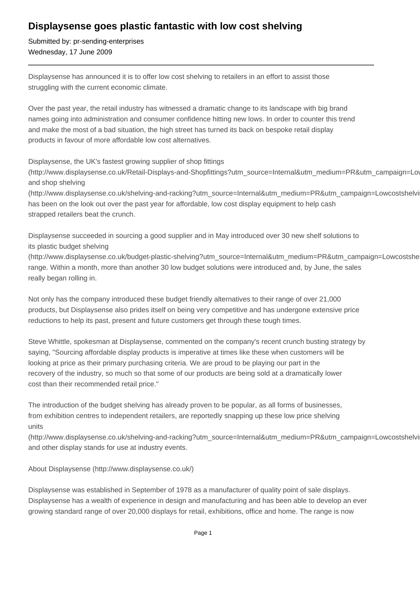## **Displaysense goes plastic fantastic with low cost shelving**

Submitted by: pr-sending-enterprises Wednesday, 17 June 2009

Displaysense has announced it is to offer low cost shelving to retailers in an effort to assist those struggling with the current economic climate.

Over the past year, the retail industry has witnessed a dramatic change to its landscape with big brand names going into administration and consumer confidence hitting new lows. In order to counter this trend and make the most of a bad situation, the high street has turned its back on bespoke retail display products in favour of more affordable low cost alternatives.

Displaysense, the UK's fastest growing supplier of shop fittings

(http://www.displaysense.co.uk/Retail-Displays-and-Shopfittings?utm\_source=Internal&utm\_medium=PR&utm\_campaign=Lowcostshelving) and shop shelving

(http://www.displaysense.co.uk/shelving-and-racking?utm\_source=Internal&utm\_medium=PR&utm\_campaign=Lowcostshelvi has been on the look out over the past year for affordable, low cost display equipment to help cash strapped retailers beat the crunch.

Displaysense succeeded in sourcing a good supplier and in May introduced over 30 new shelf solutions to its plastic budget shelving

(http://www.displaysense.co.uk/budget-plastic-shelving?utm\_source=Internal&utm\_medium=PR&utm\_campaign=Lowcostshelving) range. Within a month, more than another 30 low budget solutions were introduced and, by June, the sales really began rolling in.

Not only has the company introduced these budget friendly alternatives to their range of over 21,000 products, but Displaysense also prides itself on being very competitive and has undergone extensive price reductions to help its past, present and future customers get through these tough times.

Steve Whittle, spokesman at Displaysense, commented on the company's recent crunch busting strategy by saying, "Sourcing affordable display products is imperative at times like these when customers will be looking at price as their primary purchasing criteria. We are proud to be playing our part in the recovery of the industry, so much so that some of our products are being sold at a dramatically lower cost than their recommended retail price."

The introduction of the budget shelving has already proven to be popular, as all forms of businesses, from exhibition centres to independent retailers, are reportedly snapping up these low price shelving units

(http://www.displaysense.co.uk/shelving-and-racking?utm\_source=Internal&utm\_medium=PR&utm\_campaign=Lowcostshelving) and other display stands for use at industry events.

About Displaysense (http://www.displaysense.co.uk/)

Displaysense was established in September of 1978 as a manufacturer of quality point of sale displays. Displaysense has a wealth of experience in design and manufacturing and has been able to develop an ever growing standard range of over 20,000 displays for retail, exhibitions, office and home. The range is now